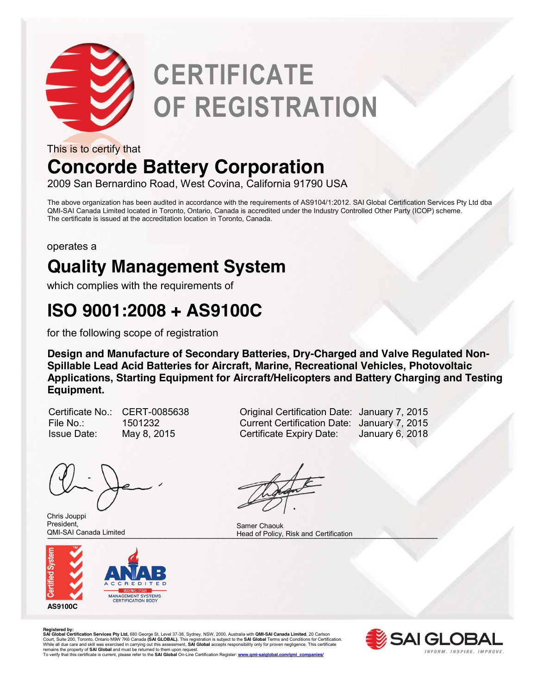

# **CERTIFICATE OF REGISTRATION**

This is to certify that

## **Concorde Battery Corporation**

2009 San Bernardino Road, West Covina, California 91790 USA

The above organization has been audited in accordance with the requirements of AS9104/1:2012. SAI Global Certification Services Pty Ltd dba QMI-SAI Canada Limited located in Toronto, Ontario, Canada is accredited under the Industry Controlled Other Party (ICOP) scheme. The certificate is issued at the accreditation location in Toronto, Canada.

operates a

### **Quality Management System**

which complies with the requirements of

### **ISO 9001:2008 + AS9100C**

for the following scope of registration

**Design and Manufacture of Secondary Batteries, Dry-Charged and Valve Regulated Non-Spillable Lead Acid Batteries for Aircraft, Marine, Recreational Vehicles, Photovoltaic Applications, Starting Equipment for Aircraft/Helicopters and Battery Charging and Testing Equipment.** 

| Certificate No |
|----------------|
| File No∴       |
| Issue Date:    |

Chris Jouppi President, QMI-SAI Canada Limited



CERT-0085638 **Calculary 7, 2015** Original Certification Date: January 7, 2015 File No.: 1501232 Current Certification Date: January 7, 2015 May 8, 2015 Certificate Expiry Date: January 6, 2018

QMI-SAI Canada Limited **Exercise 2. The Security Contract Certification** Head of Policy, Risk and Certification Samer Chaouk

**Registered by:**<br>SAI Global Certification Services Pty Ltd, 680 George St, Level 37-38, Sydney, NSW, 2000, Australia with QMI-SAI Canada Limited, 20 Carlson<br>Court, Suite 200, Toronto, Ontario M9W 7K6 Canada (SAI GLOBAL). T remains the property of **SAI Global** and must be returned to them upon request.<br>To verify that this certificate is current, please refer to the **SAI Global** On-Line Certification Register: <u>www.qmi-saiqlobal.com/qmi\_compan</u>